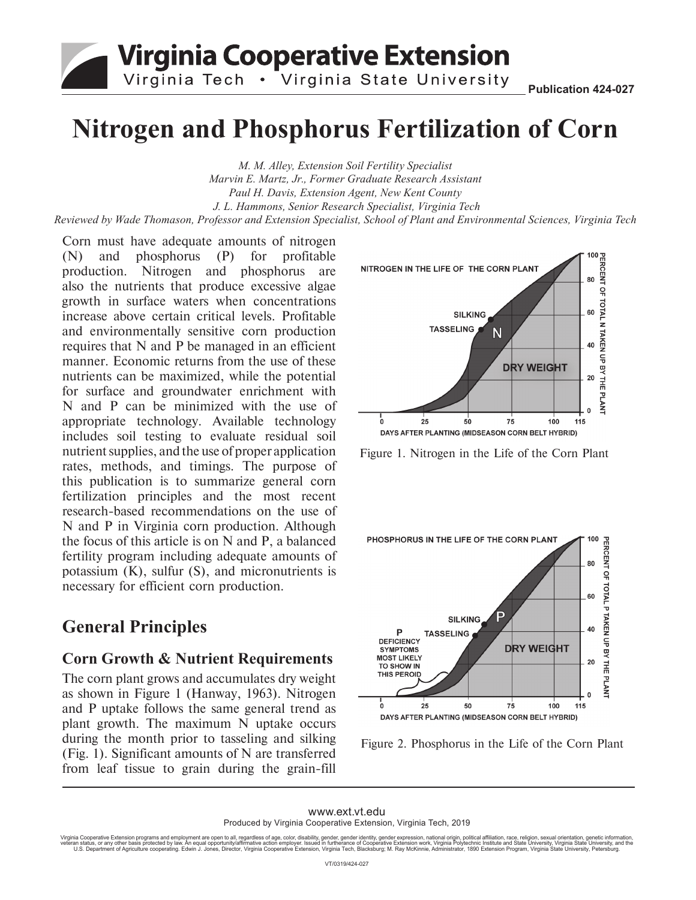## **Virginia Cooperative Extension** Virginia Tech . Virginia State University

# **Nitrogen and Phosphorus Fertilization of Corn**

*M. M. Alley, Extension Soil Fertility Specialist Marvin E. Martz, Jr., Former Graduate Research Assistant Paul H. Davis, Extension Agent, New Kent County J. L. Hammons, Senior Research Specialist, Virginia Tech Reviewed by Wade Thomason, Professor and Extension Specialist, School of Plant and Environmental Sciences, Virginia Tech*

Corn must have adequate amounts of nitrogen (N) and phosphorus (P) for profitable production. Nitrogen and phosphorus are also the nutrients that produce excessive algae growth in surface waters when concentrations increase above certain critical levels. Profitable and environmentally sensitive corn production requires that N and P be managed in an efficient manner. Economic returns from the use of these nutrients can be maximized, while the potential for surface and groundwater enrichment with N and P can be minimized with the use of appropriate technology. Available technology includes soil testing to evaluate residual soil nutrient supplies, and the use of proper application rates, methods, and timings. The purpose of this publication is to summarize general corn fertilization principles and the most recent research-based recommendations on the use of N and P in Virginia corn production. Although the focus of this article is on N and P, a balanced fertility program including adequate amounts of potassium (K), sulfur (S), and micronutrients is necessary for efficient corn production.

## **General Principles**

#### **Corn Growth & Nutrient Requirements**

The corn plant grows and accumulates dry weight as shown in Figure 1 (Hanway, 1963). Nitrogen and P uptake follows the same general trend as plant growth. The maximum N uptake occurs during the month prior to tasseling and silking (Fig. 1). Significant amounts of N are transferred from leaf tissue to grain during the grain-fill



Figure 1. Nitrogen in the Life of the Corn Plant



Figure 2. Phosphorus in the Life of the Corn Plant

www.ext.vt.edu Produced by Virginia Cooperative Extension, Virginia Tech, 2019

Virginia Cooperative Extension programs and employment are open to all, regardless of age, color, disability, gender, gender identity, gender schange in the information, gamether land to helt compertent in the step of the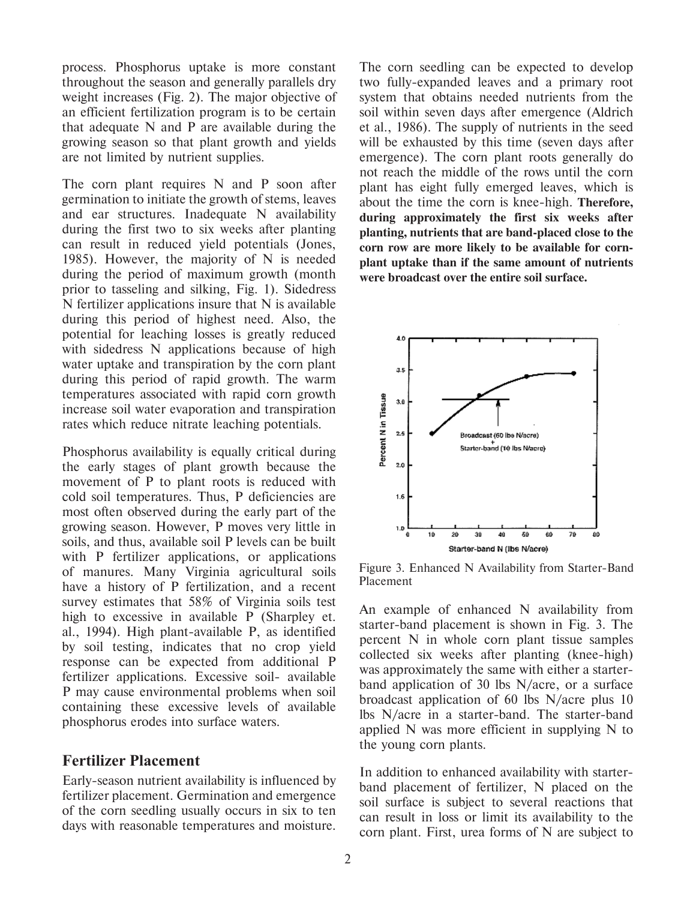process. Phosphorus uptake is more constant throughout the season and generally parallels dry weight increases (Fig. 2). The major objective of an efficient fertilization program is to be certain that adequate N and P are available during the growing season so that plant growth and yields are not limited by nutrient supplies.

The corn plant requires N and P soon after germination to initiate the growth of stems, leaves and ear structures. Inadequate N availability during the first two to six weeks after planting can result in reduced yield potentials (Jones, 1985). However, the majority of N is needed during the period of maximum growth (month prior to tasseling and silking, Fig. 1). Sidedress N fertilizer applications insure that N is available during this period of highest need. Also, the potential for leaching losses is greatly reduced with sidedress N applications because of high water uptake and transpiration by the corn plant during this period of rapid growth. The warm temperatures associated with rapid corn growth increase soil water evaporation and transpiration rates which reduce nitrate leaching potentials.

Phosphorus availability is equally critical during the early stages of plant growth because the movement of P to plant roots is reduced with cold soil temperatures. Thus, P deficiencies are most often observed during the early part of the growing season. However, P moves very little in soils, and thus, available soil P levels can be built with P fertilizer applications, or applications of manures. Many Virginia agricultural soils have a history of P fertilization, and a recent survey estimates that 58% of Virginia soils test high to excessive in available P (Sharpley et. al., 1994). High plant-available P, as identified by soil testing, indicates that no crop yield response can be expected from additional P fertilizer applications. Excessive soil- available P may cause environmental problems when soil containing these excessive levels of available phosphorus erodes into surface waters.

#### **Fertilizer Placement**

Early-season nutrient availability is influenced by fertilizer placement. Germination and emergence of the corn seedling usually occurs in six to ten days with reasonable temperatures and moisture. The corn seedling can be expected to develop two fully-expanded leaves and a primary root system that obtains needed nutrients from the soil within seven days after emergence (Aldrich et al., 1986). The supply of nutrients in the seed will be exhausted by this time (seven days after emergence). The corn plant roots generally do not reach the middle of the rows until the corn plant has eight fully emerged leaves, which is about the time the corn is knee-high. **Therefore, during approximately the first six weeks after planting, nutrients that are band-placed close to the corn row are more likely to be available for cornplant uptake than if the same amount of nutrients were broadcast over the entire soil surface.**



Figure 3. Enhanced N Availability from Starter-Band Placement

An example of enhanced N availability from starter-band placement is shown in Fig. 3. The percent N in whole corn plant tissue samples collected six weeks after planting (knee-high) was approximately the same with either a starterband application of 30 lbs N/acre, or a surface broadcast application of 60 lbs N/acre plus 10 lbs N/acre in a starter-band. The starter-band applied N was more efficient in supplying N to the young corn plants.

In addition to enhanced availability with starterband placement of fertilizer, N placed on the soil surface is subject to several reactions that can result in loss or limit its availability to the corn plant. First, urea forms of N are subject to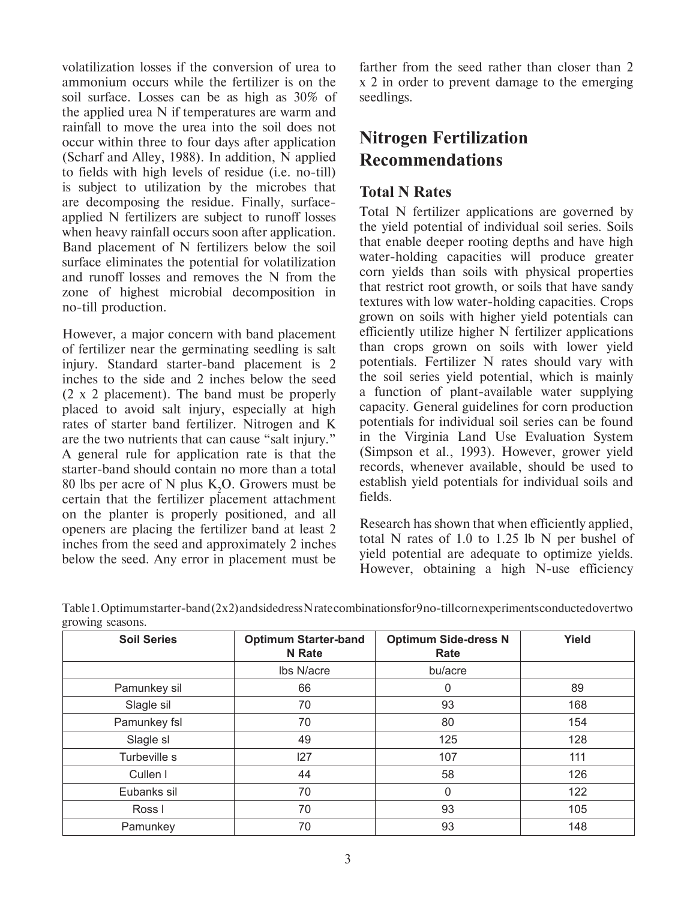volatilization losses if the conversion of urea to ammonium occurs while the fertilizer is on the soil surface. Losses can be as high as 30% of the applied urea N if temperatures are warm and rainfall to move the urea into the soil does not occur within three to four days after application (Scharf and Alley, 1988). In addition, N applied to fields with high levels of residue (i.e. no-till) is subject to utilization by the microbes that are decomposing the residue. Finally, surfaceapplied N fertilizers are subject to runoff losses when heavy rainfall occurs soon after application. Band placement of N fertilizers below the soil surface eliminates the potential for volatilization and runoff losses and removes the N from the zone of highest microbial decomposition in no-till production.

However, a major concern with band placement of fertilizer near the germinating seedling is salt injury. Standard starter-band placement is 2 inches to the side and 2 inches below the seed (2 x 2 placement). The band must be properly placed to avoid salt injury, especially at high rates of starter band fertilizer. Nitrogen and K are the two nutrients that can cause "salt injury." A general rule for application rate is that the starter-band should contain no more than a total 80 lbs per acre of N plus  $K_2O$ . Growers must be certain that the fertilizer placement attachment on the planter is properly positioned, and all openers are placing the fertilizer band at least 2 inches from the seed and approximately 2 inches below the seed. Any error in placement must be

farther from the seed rather than closer than 2 x 2 in order to prevent damage to the emerging seedlings.

## **Nitrogen Fertilization Recommendations**

#### **Total N Rates**

Total N fertilizer applications are governed by the yield potential of individual soil series. Soils that enable deeper rooting depths and have high water-holding capacities will produce greater corn yields than soils with physical properties that restrict root growth, or soils that have sandy textures with low water-holding capacities. Crops grown on soils with higher yield potentials can efficiently utilize higher N fertilizer applications than crops grown on soils with lower yield potentials. Fertilizer N rates should vary with the soil series yield potential, which is mainly a function of plant-available water supplying capacity. General guidelines for corn production potentials for individual soil series can be found in the Virginia Land Use Evaluation System (Simpson et al., 1993). However, grower yield records, whenever available, should be used to establish yield potentials for individual soils and fields.

Research has shown that when efficiently applied, total N rates of 1.0 to 1.25 lb N per bushel of yield potential are adequate to optimize yields. However, obtaining a high N-use efficiency

| <b>Soil Series</b> | <b>Optimum Starter-band</b> | <b>Optimum Side-dress N</b> | Yield |
|--------------------|-----------------------------|-----------------------------|-------|
|                    | <b>N</b> Rate               | Rate                        |       |
|                    | Ibs N/acre                  | bu/acre                     |       |
| Pamunkey sil       | 66                          | 0                           | 89    |
| Slagle sil         | 70                          | 93                          | 168   |
| Pamunkey fsl       | 70                          | 80                          | 154   |
| Slagle sl          | 49                          | 125                         | 128   |
| Turbeville s       | 127                         | 107                         | 111   |
| Cullen I           | 44                          | 58                          | 126   |
| Eubanks sil        | 70                          | $\mathbf{0}$                | 122   |
| Ross I             | 70                          | 93                          | 105   |
| Pamunkey           | 70                          | 93                          | 148   |

Table 1. Optimum starter-band (2x2) and sidedress N rate combinations for 9 no-till cornexperiments conducted over two growing seasons.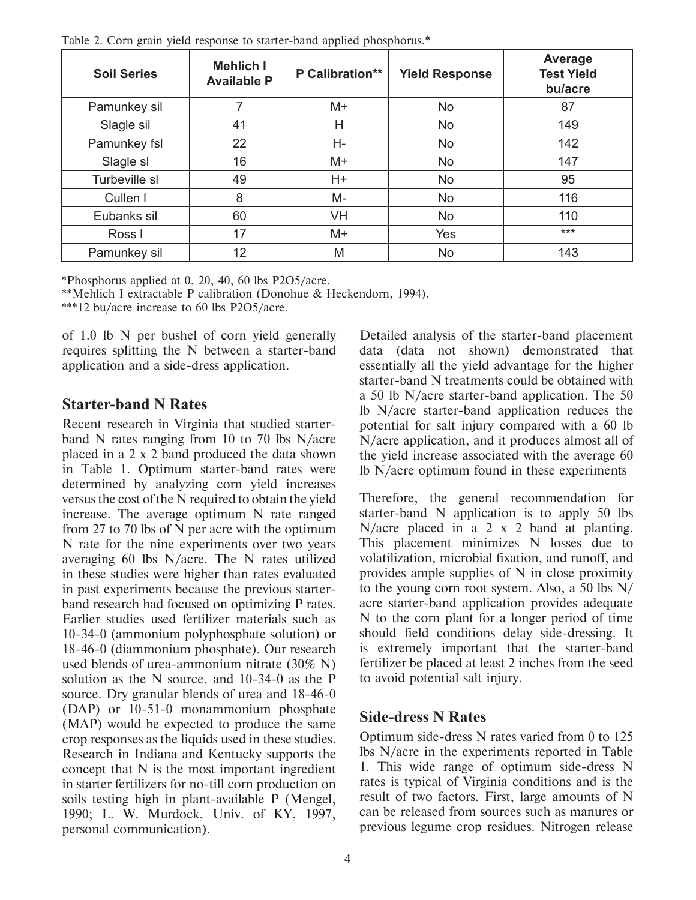| <b>Soil Series</b> | <b>Mehlich I</b><br><b>Available P</b> | P Calibration** | <b>Yield Response</b> | Average<br><b>Test Yield</b><br>bu/acre |
|--------------------|----------------------------------------|-----------------|-----------------------|-----------------------------------------|
| Pamunkey sil       |                                        | $M+$            | No                    | 87                                      |
| Slagle sil         | 41                                     | Η               | No                    | 149                                     |
| Pamunkey fsl       | 22                                     | Н-              | No                    | 142                                     |
| Slagle sl          | 16                                     | $M+$            | No                    | 147                                     |
| Turbeville sl      | 49                                     | $H+$            | No                    | 95                                      |
| Cullen I           | 8                                      | M-              | No.                   | 116                                     |
| Eubanks sil        | 60                                     | VH              | No                    | 110                                     |
| Ross I             | 17                                     | $M+$            | Yes                   | $***$                                   |
| Pamunkey sil       | 12                                     | M               | No                    | 143                                     |

Table 2. Corn grain yield response to starter-band applied phosphorus.\*

\*Phosphorus applied at 0, 20, 40, 60 lbs P2O5/acre.

\*\*Mehlich I extractable P calibration (Donohue & Heckendorn, 1994).

\*\*\*12 bu/acre increase to 60 lbs P2O5/acre.

of 1.0 lb N per bushel of corn yield generally requires splitting the N between a starter-band application and a side-dress application.

#### **Starter-band N Rates**

Recent research in Virginia that studied starterband N rates ranging from 10 to 70 lbs  $N/$ acre placed in a 2 x 2 band produced the data shown in Table 1. Optimum starter-band rates were determined by analyzing corn yield increases versus the cost of the N required to obtain the yield increase. The average optimum N rate ranged from 27 to 70 lbs of N per acre with the optimum N rate for the nine experiments over two years averaging 60 lbs N/acre. The N rates utilized in these studies were higher than rates evaluated in past experiments because the previous starterband research had focused on optimizing P rates. Earlier studies used fertilizer materials such as 10-34-0 (ammonium polyphosphate solution) or 18-46-0 (diammonium phosphate). Our research used blends of urea-ammonium nitrate  $(30\% N)$ solution as the N source, and 10-34-0 as the P source. Dry granular blends of urea and 18-46-0 (DAP) or 10-51-0 monammonium phosphate (MAP) would be expected to produce the same crop responses as the liquids used in these studies. Research in Indiana and Kentucky supports the concept that N is the most important ingredient in starter fertilizers for no-till corn production on soils testing high in plant-available P (Mengel, 1990; L. W. Murdock, Univ. of KY, 1997, personal communication).

Detailed analysis of the starter-band placement data (data not shown) demonstrated that essentially all the yield advantage for the higher starter-band N treatments could be obtained with a 50 lb N/acre starter-band application. The 50 Ib N/acre starter-band application reduces the potential for salt injury compared with a 60 lb N/acre application, and it produces almost all of the yield increase associated with the average 60 Ib  $N/a$  cre optimum found in these experiments

Therefore, the general recommendation for starter-band N application is to apply 50 lbs N/acre placed in a 2  $\times$  2 band at planting. This placement minimizes N losses due to volatilization, microbial fixation, and runoff, and provides ample supplies of  $N$  in close proximity to the young corn root system. Also, a 50 lbs  $N/$ acre starter-band application provides adequate N to the corn plant for a longer period of time should field conditions delay side-dressing. It is extremely important that the starter-band fertilizer be placed at least 2 inches from the seed to avoid potential salt injury.

#### **Side-dress N Rates**

Optimum side-dress N rates varied from 0 to 125 Ibs N/acre in the experiments reported in Table 1. This wide range of optimum side-dress N rates is typical of Virginia conditions and is the result of two factors. First, large amounts of N can be released from sources such as manures or previous legume crop residues. Nitrogen release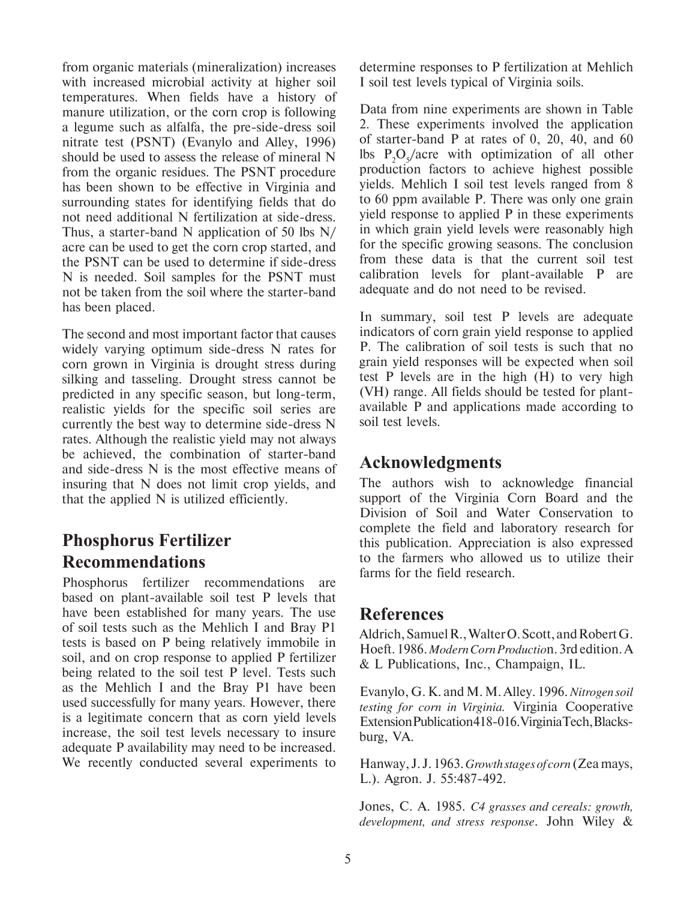from organic materials (mineralization) increases with increased microbial activity at higher soil temperatures. When fields have a history of manure utilization, or the corn crop is following a legume such as alfalfa, the pre-side-dress soil nitrate test (PSNT) (Evanylo and Alley, 1996) should be used to assess the release of mineral N from the organic residues. The PSNT procedure has been shown to be effective in Virginia and surrounding states for identifying fields that do not need additional N fertilization at side-dress. Thus, a starter-band N application of 50 lbs N/ acre can be used to get the corn crop started, and the PSNT can be used to determine if side-dress N is needed. Soil samples for the PSNT must not be taken from the soil where the starter-band has been placed.

The second and most important factor that causes widely varying optimum side-dress N rates for corn grown in Virginia is drought stress during silking and tasseling. Drought stress cannot be predicted in any specific season, but long-term, realistic yields for the specific soil series are currently the best way to determine side-dress N rates. Although the realistic yield may not always be achieved, the combination of starter-band and side-dress N is the most effective means of insuring that N does not limit crop yields, and that the applied N is utilized efficiently.

## **Phosphorus Fertilizer Recommendations**

Phosphorus fertilizer recommendations are based on plant-available soil test P levels that have been established for many years. The use of soil tests such as the Mehlich I and Bray P1 tests is based on P being relatively immobile in soil, and on crop response to applied P fertilizer being related to the soil test P level. Tests such as the Mehlich I and the Bray P1 have been used successfully for many years. However, there is a legitimate concern that as corn yield levels increase, the soil test levels necessary to insure adequate P availability may need to be increased. We recently conducted several experiments to determine responses to P fertilization at Mehlich I soil test levels typical of Virginia soils.

Data from nine experiments are shown in Table 2. These experiments involved the application of starter-band P at rates of 0, 20, 40, and 60 lbs  $P_2O_5/a$ cre with optimization of all other production factors to achieve highest possible yields. Mehlich I soil test levels ranged from 8 to 60 ppm available P. There was only one grain yield response to applied P in these experiments in which grain yield levels were reasonably high for the specific growing seasons. The conclusion from these data is that the current soil test calibration levels for plant-available P are adequate and do not need to be revised.

In summary, soil test P levels are adequate indicators of corn grain yield response to applied P. The calibration of soil tests is such that no grain yield responses will be expected when soil test P levels are in the high (H) to very high (VH) range. All fields should be tested for plantavailable P and applications made according to soil test levels.

## **Acknowledgments**

The authors wish to acknowledge financial support of the Virginia Corn Board and the Division of Soil and Water Conservation to complete the field and laboratory research for this publication. Appreciation is also expressed to the farmers who allowed us to utilize their farms for the field research.

## **References**

Aldrich, Samuel R., Walter O. Scott, and Robert G. Hoeft. 1986. *Modern Corn Productio*n. 3rd edition. A & L Publications, Inc., Champaign, IL.

Evanylo, G. K. and M. M. Alley. 1996. *Nitrogen soil testing for corn in Virginia.* Virginia Cooperative Extension Publication 418-016. Virginia Tech, Blacksburg, VA.

Hanway, J. J. 1963. *Growth stages of corn* (Zea mays, L.). Agron. J. 55:487-492.

Jones, C. A. 1985. *C4 grasses and cereals: growth, development, and stress response*. John Wiley &